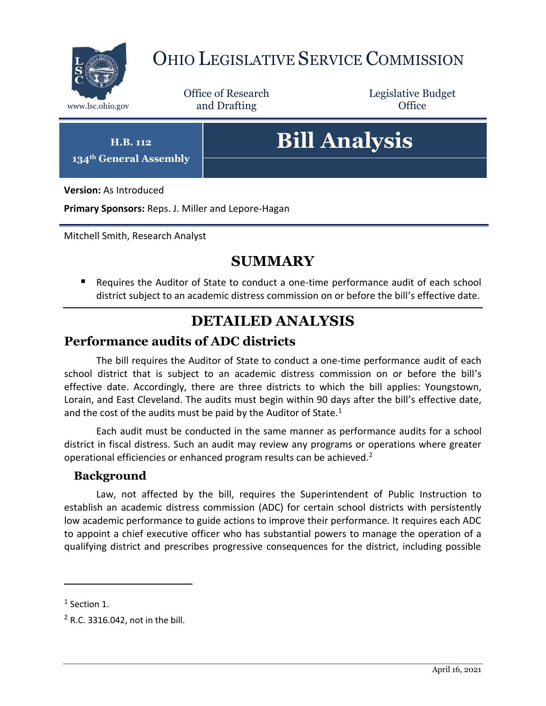

## OHIO LEGISLATIVE SERVICE COMMISSION

Office of Research www.lsc.ohio.gov **and Drafting Office** 

Legislative Budget

**H.B. 112**

**134th General Assembly**

# **Bill Analysis**

**Version:** As Introduced

**Primary Sponsors:** Reps. J. Miller and Lepore-Hagan

Mitchell Smith, Research Analyst

## **SUMMARY**

 Requires the Auditor of State to conduct a one-time performance audit of each school district subject to an academic distress commission on or before the bill's effective date.

#### **DETAILED ANALYSIS**

#### **Performance audits of ADC districts**

The bill requires the Auditor of State to conduct a one-time performance audit of each school district that is subject to an academic distress commission on or before the bill's effective date. Accordingly, there are three districts to which the bill applies: Youngstown, Lorain, and East Cleveland. The audits must begin within 90 days after the bill's effective date, and the cost of the audits must be paid by the Auditor of State. $1$ 

Each audit must be conducted in the same manner as performance audits for a school district in fiscal distress. Such an audit may review any programs or operations where greater operational efficiencies or enhanced program results can be achieved.<sup>2</sup>

#### **Background**

Law, not affected by the bill, requires the Superintendent of Public Instruction to establish an academic distress commission (ADC) for certain school districts with persistently low academic performance to guide actions to improve their performance. It requires each ADC to appoint a chief executive officer who has substantial powers to manage the operation of a qualifying district and prescribes progressive consequences for the district, including possible

 $\overline{a}$ 

 $<sup>1</sup>$  Section 1.</sup>

<sup>2</sup> R.C. 3316.042, not in the bill.